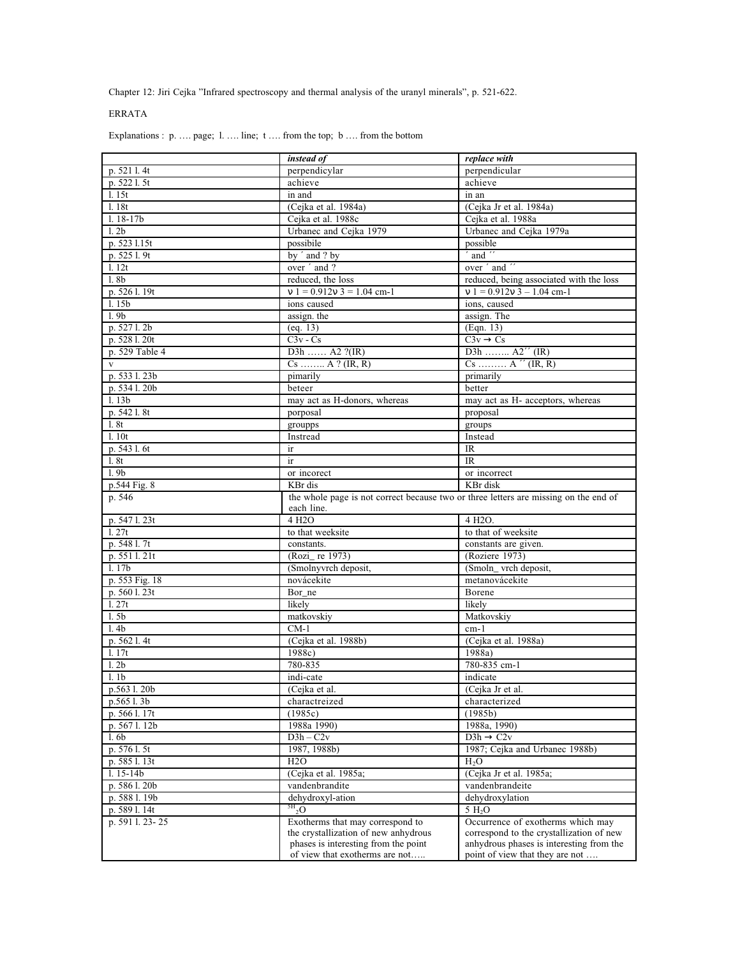Chapter 12: Jiri Cejka "Infrared spectroscopy and thermal analysis of the uranyl minerals", p. 521-622.

## ERRATA

Explanations : p. .... page; 1. .... line; t .... from the top; b .... from the bottom

|                         | instead of                                                                                         | replace with                             |
|-------------------------|----------------------------------------------------------------------------------------------------|------------------------------------------|
| p. 521 l. 4t            | perpendicylar                                                                                      | perpendicular                            |
| p. 522 l. 5t            | achieve                                                                                            | achieve                                  |
| 1.15t                   | in and                                                                                             | in an                                    |
| 1.18t                   | (Cejka et al. 1984a)                                                                               | (Cejka Jr et al. 1984a)                  |
| $1.18 - 17b$            | Cejka et al. 1988c                                                                                 | Cejka et al. 1988a                       |
| 1.2 <sub>b</sub>        | Urbanec and Cejka 1979                                                                             | Urbanec and Cejka 1979a                  |
| p. 523 1.15t            | possibile                                                                                          | possible                                 |
| p. 525 l. 9t            | by ' and ? by                                                                                      | and "                                    |
| 1.12t                   | over ' and ?                                                                                       | over ' and                               |
| 1.8 <sub>b</sub>        | reduced, the loss                                                                                  | reduced, being associated with the loss  |
| p. 526 l. 19t           | $v 1 = 0.912v 3 = 1.04$ cm-1                                                                       | $v 1 = 0.912v 3 - 1.04$ cm-1             |
| 1.15 <sub>b</sub>       | ions caused                                                                                        | ions, caused                             |
| 1.9 <sub>b</sub>        | assign. the                                                                                        | assign. The                              |
| p. 527 l. 2b            | (eq. 13)                                                                                           | (Eqn. 13)                                |
| p. 528 l. 20t           | $C3v - Cs$                                                                                         | $C3v \rightarrow Cs$                     |
| p. 529 Table 4          | D3h  A2 $?$ (IR)                                                                                   | D3h $A2''$ (IR)                          |
| $\mathbf{V}$            | $Cs$ $A$ ? (IR, R)                                                                                 | $Cs$ $A''$ (IR, R)                       |
| p. 533 l. 23b           | pimarily                                                                                           | primarily                                |
| p. 5341.20b             | beteer                                                                                             | better                                   |
| 1.13 <sub>b</sub>       | may act as H-donors, whereas                                                                       | may act as H- acceptors, whereas         |
| p. 542 l. 8t            | porposal                                                                                           | proposal                                 |
| 1. 8t                   | groupps                                                                                            | groups                                   |
| 1.10t                   | Instread                                                                                           | Instead                                  |
| p. 543 l. 6t            | ir                                                                                                 | IR                                       |
| 1. 8t                   | ir                                                                                                 | <b>IR</b>                                |
| 1.9 <sub>b</sub>        | or incorect                                                                                        | or incorrect                             |
| p.544 Fig. 8            | KBr dis                                                                                            | KBr disk                                 |
| p. 546                  | the whole page is not correct because two or three letters are missing on the end of<br>each line. |                                          |
| p. 547 l. 23t           | 4 H <sub>2</sub> O                                                                                 | 4 H <sub>2</sub> O.                      |
| 1.27t                   | to that weeksite                                                                                   | to that of weeksite                      |
| p. 548 l. 7t            | constants.                                                                                         | constants are given.                     |
| p. 551 l. 21t           | (Rozi_ re 1973)                                                                                    | (Roziere 1973)                           |
| 1.17 <sub>b</sub>       | (Smolnyvrch deposit,                                                                               | (Smoln_vrch deposit,                     |
| p. 553 Fig. 18          | novácekite                                                                                         | metanovácekite                           |
| p. 560 l. 23t           | Bor_ne                                                                                             | Borene                                   |
| 1.27t                   | likely                                                                                             | likely                                   |
| 1.5 <sub>b</sub>        | matkovskiy                                                                                         | Matkovskiy                               |
| 1.4 <sub>b</sub>        | $CM-1$                                                                                             | $cm-1$                                   |
| p. 562 l. 4t            | (Cejka et al. 1988b)                                                                               | (Cejka et al. 1988a)                     |
| l. 17t                  | 1988c)                                                                                             | 1988a)                                   |
| 1.2 <sub>b</sub>        | 780-835                                                                                            | 780-835 cm-1                             |
| 1.1 <sub>b</sub>        | indi-cate                                                                                          | indicate                                 |
| $p.563\overline{1.20b}$ | (Cejka et al.                                                                                      | (Cejka Jr et al.                         |
| p.565 l. 3b             | charactreized                                                                                      | characterized                            |
| p. 566 l. 17t           | (1985c)                                                                                            | (1985b)                                  |
| p. 567 l. 12b           | 1988a 1990)                                                                                        | 1988a, 1990)                             |
| 1.6 <sub>b</sub>        | $D3h - C2v$                                                                                        | $D3h \rightarrow C2v$                    |
| p. 576 l. 5t            | 1987, 1988b)                                                                                       | 1987; Cejka and Urbanec 1988b)           |
| p. 585 l. 13t           | H2O                                                                                                | $H_2O$                                   |
| $1.15 - 14b$            | (Cejka et al. 1985a;                                                                               | (Cejka Jr et al. 1985a;                  |
| p. 5861.20b             | vandenbrandite                                                                                     | vandenbrandeite                          |
| p. 588 l. 19b           | dehydroxyl-ation                                                                                   | dehydroxylation                          |
| p. 589 l. 14t           | $^{5H}$ <sub>2</sub> O                                                                             | 5 H <sub>2</sub> O                       |
| p. 591 l. 23-25         | Exotherms that may correspond to                                                                   | Occurrence of exotherms which may        |
|                         | the crystallization of new anhydrous                                                               | correspond to the crystallization of new |
|                         | phases is interesting from the point                                                               | anhydrous phases is interesting from the |
|                         | of view that exotherms are not                                                                     | point of view that they are not          |